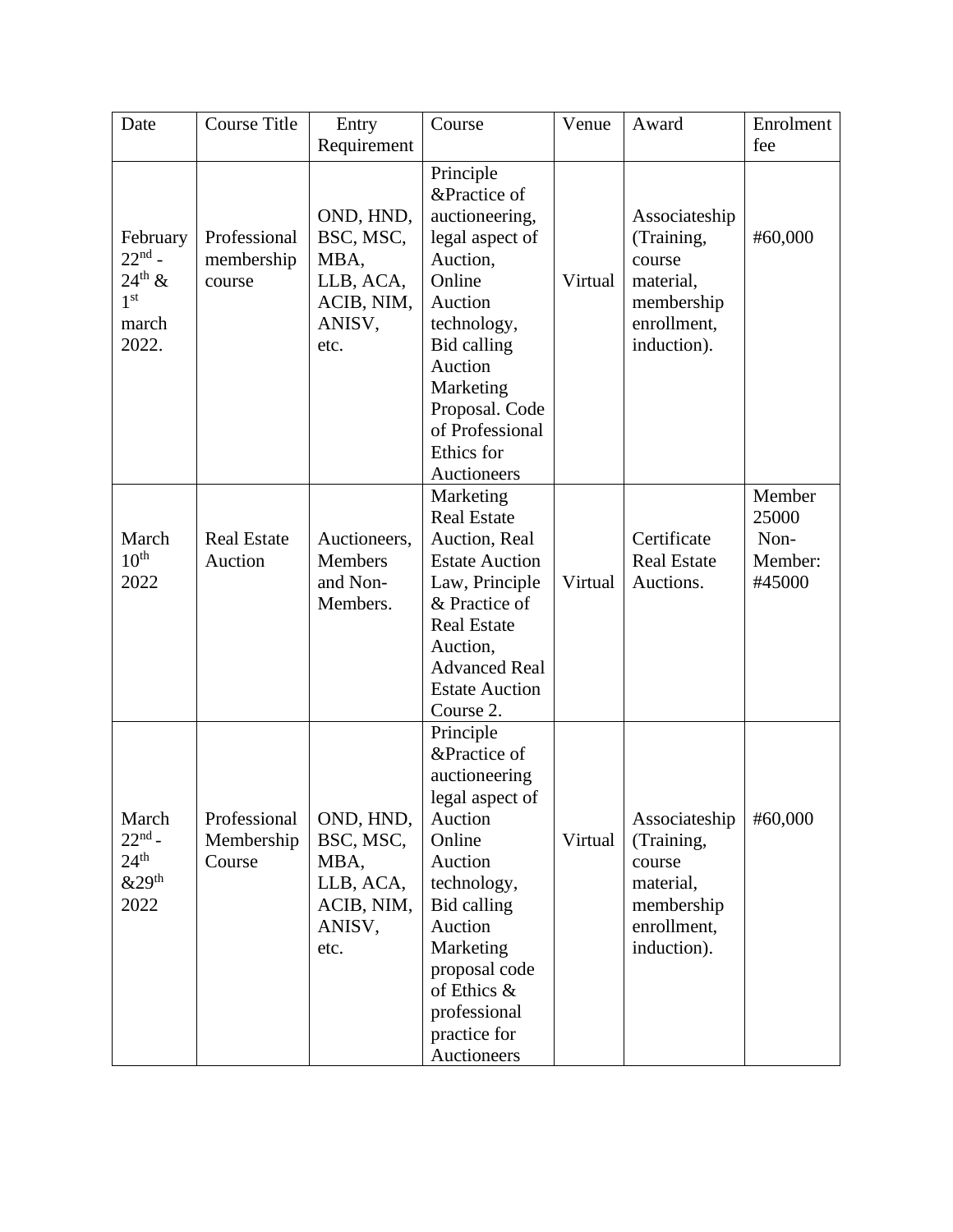| Date                                                                            | <b>Course Title</b>                  | Entry<br>Requirement                                                        | Course                                                                                                                                                                                                                             | Venue   | Award                                                                                          | Enrolment<br>fee                             |
|---------------------------------------------------------------------------------|--------------------------------------|-----------------------------------------------------------------------------|------------------------------------------------------------------------------------------------------------------------------------------------------------------------------------------------------------------------------------|---------|------------------------------------------------------------------------------------------------|----------------------------------------------|
| February<br>$22nd$ -<br>$24^{\text{th}}$ &<br>1 <sup>st</sup><br>march<br>2022. | Professional<br>membership<br>course | OND, HND,<br>BSC, MSC,<br>MBA,<br>LLB, ACA,<br>ACIB, NIM,<br>ANISV,<br>etc. | Principle<br>&Practice of<br>auctioneering,<br>legal aspect of<br>Auction,<br>Online<br>Auction<br>technology,<br><b>Bid calling</b><br>Auction<br>Marketing<br>Proposal. Code<br>of Professional<br>Ethics for<br>Auctioneers     | Virtual | Associateship<br>(Training,<br>course<br>material,<br>membership<br>enrollment,<br>induction). | #60,000                                      |
| March<br>10 <sup>th</sup><br>2022                                               | <b>Real Estate</b><br>Auction        | Auctioneers,<br><b>Members</b><br>and Non-<br>Members.                      | Marketing<br><b>Real Estate</b><br>Auction, Real<br><b>Estate Auction</b><br>Law, Principle<br>& Practice of<br><b>Real Estate</b><br>Auction,<br><b>Advanced Real</b><br><b>Estate Auction</b><br>Course 2.                       | Virtual | Certificate<br><b>Real Estate</b><br>Auctions.                                                 | Member<br>25000<br>Non-<br>Member:<br>#45000 |
| March<br>$22nd$ -<br>$24^{\text{th}}$<br>&29 <sup>th</sup><br>2022              | Professional<br>Membership<br>Course | OND, HND,<br>BSC, MSC,<br>MBA,<br>LLB, ACA,<br>ACIB, NIM,<br>ANISV,<br>etc. | Principle<br>&Practice of<br>auctioneering<br>legal aspect of<br>Auction<br>Online<br>Auction<br>technology,<br>Bid calling<br>Auction<br>Marketing<br>proposal code<br>of Ethics &<br>professional<br>practice for<br>Auctioneers | Virtual | Associateship<br>(Training,<br>course<br>material,<br>membership<br>enrollment,<br>induction). | #60,000                                      |